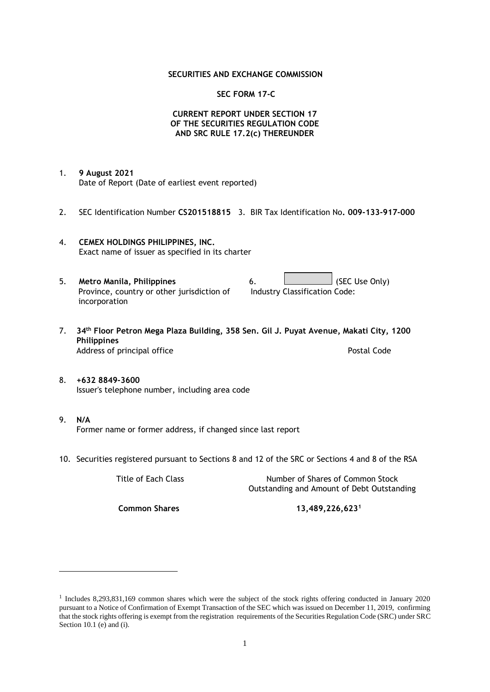### **SECURITIES AND EXCHANGE COMMISSION**

### **SEC FORM 17-C**

## **CURRENT REPORT UNDER SECTION 17 OF THE SECURITIES REGULATION CODE AND SRC RULE 17.2(c) THEREUNDER**

- 1. **9 August 2021** Date of Report (Date of earliest event reported)
- 2. SEC Identification Number **CS201518815** 3. BIR Tax Identification No**. 009-133-917-000**
- 4. **CEMEX HOLDINGS PHILIPPINES, INC.** Exact name of issuer as specified in its charter
- 5. **Metro Manila, Philippines** 6. **Consumers 6.** (SEC Use Only) Province, country or other jurisdiction of incorporation Industry Classification Code:
- 7. **34th Floor Petron Mega Plaza Building, 358 Sen. Gil J. Puyat Avenue, Makati City, 1200 Philippines** Address of principal office **Postal Code** Postal Code
- 8. **+632 8849-3600** Issuer's telephone number, including area code
- 9. **N/A** Former name or former address, if changed since last report
- 10. Securities registered pursuant to Sections 8 and 12 of the SRC or Sections 4 and 8 of the RSA

Title of Each Class Number of Shares of Common Stock Outstanding and Amount of Debt Outstanding

**Common Shares 13,489,226,623<sup>1</sup>**

<sup>1</sup> Includes 8,293,831,169 common shares which were the subject of the stock rights offering conducted in January 2020 pursuant to a Notice of Confirmation of Exempt Transaction of the SEC which was issued on December 11, 2019, confirming that the stock rights offering is exempt from the registration requirements of the Securities Regulation Code (SRC) under SRC Section 10.1 (e) and (i).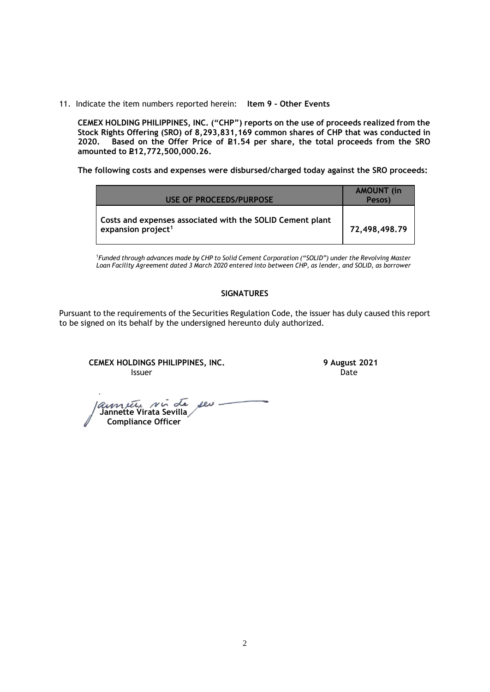11. Indicate the item numbers reported herein: **Item 9 - Other Events**

**CEMEX HOLDING PHILIPPINES, INC. ("CHP") reports on the use of proceeds realized from the Stock Rights Offering (SRO) of 8,293,831,169 common shares of CHP that was conducted in**  Based on the Offer Price of £1.54 per share, the total proceeds from the SRO **amounted to P12,772,500,000.26.** 

**The following costs and expenses were disbursed/charged today against the SRO proceeds:**

| USE OF PROCEEDS/PURPOSE                                                                     | <b>AMOUNT</b> (in<br>Pesos) |
|---------------------------------------------------------------------------------------------|-----------------------------|
| Costs and expenses associated with the SOLID Cement plant<br>expansion project <sup>1</sup> | 72,498,498.79               |

<sup>1</sup>*Funded through advances made by CHP to Solid Cement Corporation ("SOLID") under the Revolving Master Loan Facility Agreement dated 3 March 2020 entered into between CHP, as lender, and SOLID, as borrower*

## **SIGNATURES**

Pursuant to the requirements of the Securities Regulation Code, the issuer has duly caused this report to be signed on its behalf by the undersigned hereunto duly authorized.

**CEMEX HOLDINGS PHILIPPINES, INC. 9 August 2021 Issuer Date of the Community of the Community Community Community Community Community Community Community Community** 

 **Jannette Virata Sevilla Compliance Officer**